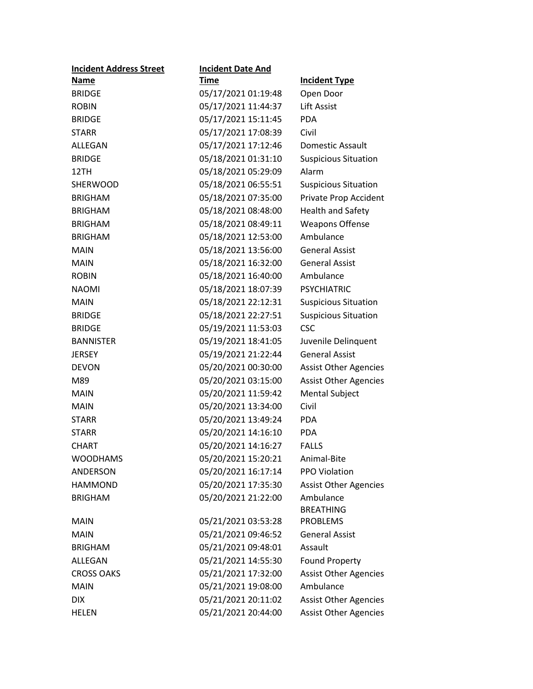| <b>Incident Address Street</b> | <b>Incident Date And</b> |                              |
|--------------------------------|--------------------------|------------------------------|
| <u>Name</u>                    | <u>Time</u>              | <b>Incident Type</b>         |
| <b>BRIDGE</b>                  | 05/17/2021 01:19:48      | Open Door                    |
| <b>ROBIN</b>                   | 05/17/2021 11:44:37      | <b>Lift Assist</b>           |
| <b>BRIDGE</b>                  | 05/17/2021 15:11:45      | <b>PDA</b>                   |
| <b>STARR</b>                   | 05/17/2021 17:08:39      | Civil                        |
| ALLEGAN                        | 05/17/2021 17:12:46      | Domestic Assault             |
| <b>BRIDGE</b>                  | 05/18/2021 01:31:10      | <b>Suspicious Situation</b>  |
| 12TH                           | 05/18/2021 05:29:09      | Alarm                        |
| <b>SHERWOOD</b>                | 05/18/2021 06:55:51      | <b>Suspicious Situation</b>  |
| <b>BRIGHAM</b>                 | 05/18/2021 07:35:00      | Private Prop Accident        |
| <b>BRIGHAM</b>                 | 05/18/2021 08:48:00      | <b>Health and Safety</b>     |
| <b>BRIGHAM</b>                 | 05/18/2021 08:49:11      | <b>Weapons Offense</b>       |
| <b>BRIGHAM</b>                 | 05/18/2021 12:53:00      | Ambulance                    |
| <b>MAIN</b>                    | 05/18/2021 13:56:00      | <b>General Assist</b>        |
| <b>MAIN</b>                    | 05/18/2021 16:32:00      | <b>General Assist</b>        |
| <b>ROBIN</b>                   | 05/18/2021 16:40:00      | Ambulance                    |
| <b>NAOMI</b>                   | 05/18/2021 18:07:39      | <b>PSYCHIATRIC</b>           |
| <b>MAIN</b>                    | 05/18/2021 22:12:31      | <b>Suspicious Situation</b>  |
| <b>BRIDGE</b>                  | 05/18/2021 22:27:51      | <b>Suspicious Situation</b>  |
| <b>BRIDGE</b>                  | 05/19/2021 11:53:03      | <b>CSC</b>                   |
| <b>BANNISTER</b>               | 05/19/2021 18:41:05      | Juvenile Delinquent          |
| <b>JERSEY</b>                  | 05/19/2021 21:22:44      | <b>General Assist</b>        |
| <b>DEVON</b>                   | 05/20/2021 00:30:00      | <b>Assist Other Agencies</b> |
| M89                            | 05/20/2021 03:15:00      | <b>Assist Other Agencies</b> |
| <b>MAIN</b>                    | 05/20/2021 11:59:42      | <b>Mental Subject</b>        |
| <b>MAIN</b>                    | 05/20/2021 13:34:00      | Civil                        |
| <b>STARR</b>                   | 05/20/2021 13:49:24      | <b>PDA</b>                   |
| <b>STARR</b>                   | 05/20/2021 14:16:10      | <b>PDA</b>                   |
| <b>CHART</b>                   | 05/20/2021 14:16:27      | <b>FALLS</b>                 |
| <b>WOODHAMS</b>                | 05/20/2021 15:20:21      | Animal-Bite                  |
| <b>ANDERSON</b>                | 05/20/2021 16:17:14      | PPO Violation                |
| <b>HAMMOND</b>                 | 05/20/2021 17:35:30      | <b>Assist Other Agencies</b> |
| <b>BRIGHAM</b>                 | 05/20/2021 21:22:00      | Ambulance                    |
|                                |                          | <b>BREATHING</b>             |
| <b>MAIN</b>                    | 05/21/2021 03:53:28      | <b>PROBLEMS</b>              |
| <b>MAIN</b>                    | 05/21/2021 09:46:52      | <b>General Assist</b>        |
| <b>BRIGHAM</b>                 | 05/21/2021 09:48:01      | Assault                      |
| ALLEGAN                        | 05/21/2021 14:55:30      | <b>Found Property</b>        |
| <b>CROSS OAKS</b>              | 05/21/2021 17:32:00      | <b>Assist Other Agencies</b> |
| <b>MAIN</b>                    | 05/21/2021 19:08:00      | Ambulance                    |
| <b>DIX</b>                     | 05/21/2021 20:11:02      | <b>Assist Other Agencies</b> |
| <b>HELEN</b>                   | 05/21/2021 20:44:00      | <b>Assist Other Agencies</b> |